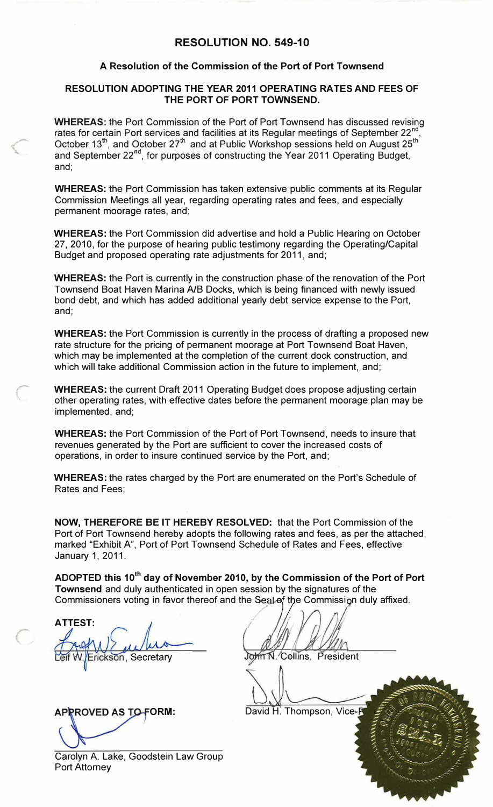## **RESOLUTION NO. 549-10**

#### **A Resolution of the Commission of the Port of Port Townsend**

#### **RESOLUTION ADOPTING THE YEAR 2011 OPERATING RATES AND FEES OF THE PORT OF PORT TOWNSEND.**

**WHEREAS:** the Port Commission of the Port of Port Townsend has discussed revising rates for certain Port services and facilities at its Regular meetings of September 22<sup>nd</sup> , October 13<sup>th</sup>, and October 27<sup>th</sup> and at Public Workshop sessions held on August 25<sup>th</sup> and September 22<sup>nd</sup>, for purposes of constructing the Year 2011 Operating Budget, and;

**WHEREAS:** the Port Commission has taken extensive public comments at its Regular Commission Meetings all year, regarding operating rates and fees, and especially permanent moorage rates, and;

**WHEREAS:** the Port Commission did advertise and hold a Public Hearing on October 27, 2010, for the purpose of hearing public testimony regarding the Operating/Capital Budget and proposed operating rate adjustments for 2011, and;

**WHEREAS:** the Port is currently in the construction phase of the renovation of the Port Townsend Boat Haven Marina A/B Docks, which is being financed with newly issued bond debt, and which has added additional yearly debt service expense to the Port, and;

**WHEREAS:** the Port Commission is currently in the process of drafting a proposed new rate structure for the pricing of permanent moorage at Port Townsend Boat Haven, which may be implemented at the completion of the current dock construction, and which will take additional Commission action in the future to implement, and;

**WHEREAS:** the current Draft 2011 Operating Budget does propose adjusting certain other operating rates, with effective dates before the permanent moorage plan may be implemented, and;

**WHEREAS:** the Port Commission of the Port of Port Townsend, needs to insure that revenues generated by the Port are sufficient to cover the increased costs of operations, in order to insure continued service by the Port, and;

**WHEREAS:** the rates charged by the Port are enumerated on the Port's Schedule of Rates and Fees;

**NOW, THEREFORE BE IT HEREBY RESOLVED:** that the Port Commission of the Port of Port Townsend hereby adopts the following rates and fees, as per the attached, marked "Exhibit A", Port of Port Townsend Schedule of Rates and Fees, effective January 1, 2011.

**ADOPTED this 10th day of November 2010, by the Commission of the Port of Port Townsend** and duly authenticated in open session by the signatures of the Commissioners voting in favor thereof and the Seal of the Commission duly affixed.

**ATTEST:** ickson, Secretary

**APPROVED AS TO-FORM:** 

**.** *!!Jr,'fl!* . C6llins, President

David H. Thompson, Vice-P

Carolyn A. Lake, Goodstein Law Group Port Attorney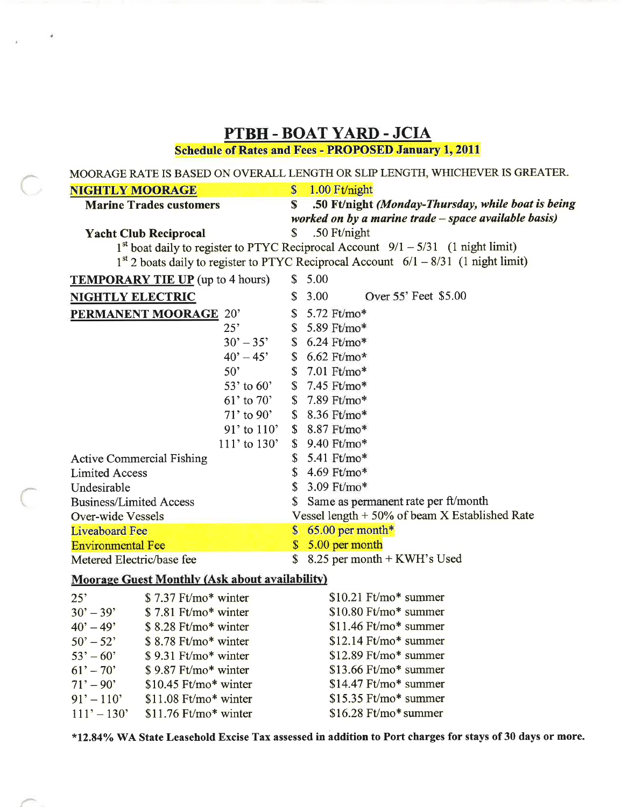| PTBH - BOAT YARD - JCIA                                      |                    |                                                                                       |
|--------------------------------------------------------------|--------------------|---------------------------------------------------------------------------------------|
| <b>Schedule of Rates and Fees - PROPOSED January 1, 2011</b> |                    |                                                                                       |
|                                                              |                    | MOORAGE RATE IS BASED ON OVERALL LENGTH OR SLIP LENGTH, WHICHEVER IS GREATER.         |
| $\mathbf{\$}$<br><b>NIGHTLY MOORAGE</b>                      |                    | 1.00 Ft/night                                                                         |
| <b>Marine Trades customers</b>                               | S                  | .50 Ft/night (Monday-Thursday, while boat is being                                    |
| worked on by a marine trade - space available basis)         |                    |                                                                                       |
| <b>Yacht Club Reciprocal</b>                                 | $\mathbf S$        | .50 Ft/night                                                                          |
|                                                              |                    | $1st$ boat daily to register to PTYC Reciprocal Account $9/1 - 5/31$ (1 night limit)  |
|                                                              |                    | $1st$ 2 boats daily to register to PTYC Reciprocal Account 6/1 – 8/31 (1 night limit) |
| <b>TEMPORARY TIE UP</b> (up to 4 hours)                      |                    | \$5.00                                                                                |
| <b>NIGHTLY ELECTRIC</b>                                      |                    | \$3.00<br>Over 55' Feet \$5.00                                                        |
| PERMANENT MOORAGE 20'                                        |                    | \$ 5.72 Ft/mo*                                                                        |
| 25"                                                          |                    | $$5.89$ Ft/mo*                                                                        |
| $30' - 35'$                                                  |                    | $$6.24 \text{ Ft/mol}^*$$                                                             |
| $40^{\circ} - 45^{\circ}$                                    |                    | $$6.62$ Ft/mo*                                                                        |
| $50^{\circ}$                                                 |                    | \$ 7.01 Ft/mo*                                                                        |
| $53'$ to $60'$                                               |                    | \$7.45 Ft/mo*                                                                         |
| $61'$ to $70'$                                               |                    | \$7.89 Ft/mo*                                                                         |
| $71'$ to 90'                                                 |                    | \$ 8.36 Ft/mo*                                                                        |
| $91'$ to $110'$                                              |                    | \$ 8.87 Ft/mo*                                                                        |
| $111'$ to $130'$                                             |                    | \$9.40 Ft/mo*                                                                         |
| <b>Active Commercial Fishing</b>                             |                    | \$ 5.41 Ft/mo*                                                                        |
| <b>Limited Access</b>                                        |                    | \$4.69 Ft/mo*                                                                         |
| Undesirable                                                  | \$                 | $3.09$ Ft/mo*                                                                         |
| <b>Business/Limited Access</b>                               |                    | Same as permanent rate per ft/month                                                   |
| Over-wide Vessels                                            |                    | Vessel length $+50\%$ of beam X Established Rate                                      |
| <b>Liveaboard Fee</b>                                        |                    | $$65.00$ per month*                                                                   |
| <b>Environmental Fee</b>                                     | \$                 | 5.00 per month                                                                        |
| Metered Electric/base fee                                    | $\mathbf{\hat{S}}$ | 8.25 per month + KWH's Used                                                           |
| <b>Moorage Guest Monthly (Ask about availability)</b>        |                    |                                                                                       |

#### $25^\circ$ \$7.37 Ft/mo\* winter  $$10.21$  Ft/mo\* summer \$10.80 Ft/mo\* summer  $30' - 39'$ \$7.81 Ft/mo\* winter  $$11.46$  Ft/mo\* summer  $40^{\circ} - 49^{\circ}$  $$8.28$  Ft/mo\* winter \$12.14 Ft/mo\* summer \$8.78 Ft/mo\* winter  $50^{\circ} - 52^{\circ}$  $53' - 60'$ \$9.31 Ft/mo\* winter \$12.89 Ft/mo\* summer  $61' - 70'$ \$9.87 Ft/mo\* winter  $$13.66$  Ft/mo\* summer \$14.47 Ft/mo\* summer  $71' - 90'$ \$10.45 Ft/mo\* winter  $91' - 110'$ \$11.08 Ft/mo\* winter \$15.35 Ft/mo\* summer  $111' - 130'$  $$16.28$  Ft/mo\* summer

 $$11.76$  Ft/mo\* winter

\*12.84% WA State Leasehold Excise Tax assessed in addition to Port charges for stays of 30 days or more.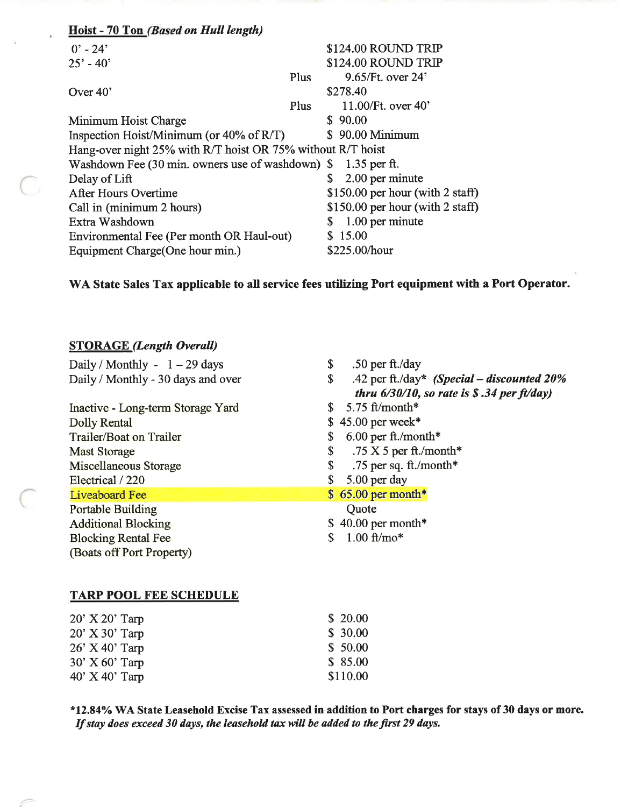| Hoist - 70 Ton (Based on Hull length)                       |      |                                             |  |
|-------------------------------------------------------------|------|---------------------------------------------|--|
| $0' - 24'$                                                  |      | \$124.00 ROUND TRIP                         |  |
| $25' - 40'$                                                 |      | \$124.00 ROUND TRIP                         |  |
|                                                             | Plus | $9.65$ /Ft. over 24'                        |  |
| Over 40'                                                    |      | \$278.40                                    |  |
|                                                             | Plus | 11.00/Ft. over $40'$                        |  |
| Minimum Hoist Charge                                        |      | \$90.00                                     |  |
| Inspection Hoist/Minimum (or $40\%$ of R/T)                 |      | \$90.00 Minimum                             |  |
| Hang-over night 25% with R/T hoist OR 75% without R/T hoist |      |                                             |  |
| Washdown Fee (30 min. owners use of washdown) \$            |      | $1.35$ per ft.                              |  |
| Delay of Lift                                               |      | 2.00 per minute<br>S                        |  |
| After Hours Overtime                                        |      | \$150.00 per hour (with $2 \text{ staff}$ ) |  |
| Call in (minimum 2 hours)                                   |      | \$150.00 per hour (with 2 staff)            |  |
| Extra Washdown                                              |      | 1.00 per minute<br>S                        |  |
| Environmental Fee (Per month OR Haul-out)                   |      | \$15.00                                     |  |
| Equipment Charge (One hour min.)                            |      | \$225.00/hour                               |  |

# WA State Sales Tax applicable to all service fees utilizing Port equipment with a Port Operator.

# **STORAGE** (Length Overall)

Õ

| Daily / Monthly - $1 - 29$ days<br>\$    | .50 per $ft./day$                             |
|------------------------------------------|-----------------------------------------------|
| Daily / Monthly - 30 days and over<br>\$ | .42 per ft./day* (Special – discounted $20\%$ |
|                                          | thru $6/30/10$ , so rate is \$.34 per ft/day) |
| Inactive - Long-term Storage Yard        | 5.75 ft/month*                                |
| <b>Dolly Rental</b>                      | $$45.00$ per week*                            |
| Trailer/Boat on Trailer                  | $6.00$ per ft./month*                         |
| \$<br><b>Mast Storage</b>                | .75 X 5 per ft./month*                        |
| \$<br>Miscellaneous Storage              | .75 per sq. ft./month*                        |
| Electrical / 220                         | 5.00 per day                                  |
| <b>Liveaboard Fee</b>                    | $$65.00$ per month*                           |
| <b>Portable Building</b>                 | Quote                                         |
| <b>Additional Blocking</b>               | $$40.00$ per month*                           |
| <b>Blocking Rental Fee</b>               | $1.00$ ft/mo*                                 |
| (Boats off Port Property)                |                                               |

#### **TARP POOL FEE SCHEDULE**

| $20'$ X $20'$ Tarp | \$20.00  |
|--------------------|----------|
| $20'$ X 30' Tarp   | \$30.00  |
| $26'$ X 40' Tarp   | \$50.00  |
| $30'$ X 60' Tarp   | \$85.00  |
| $40'$ X $40'$ Tarp | \$110.00 |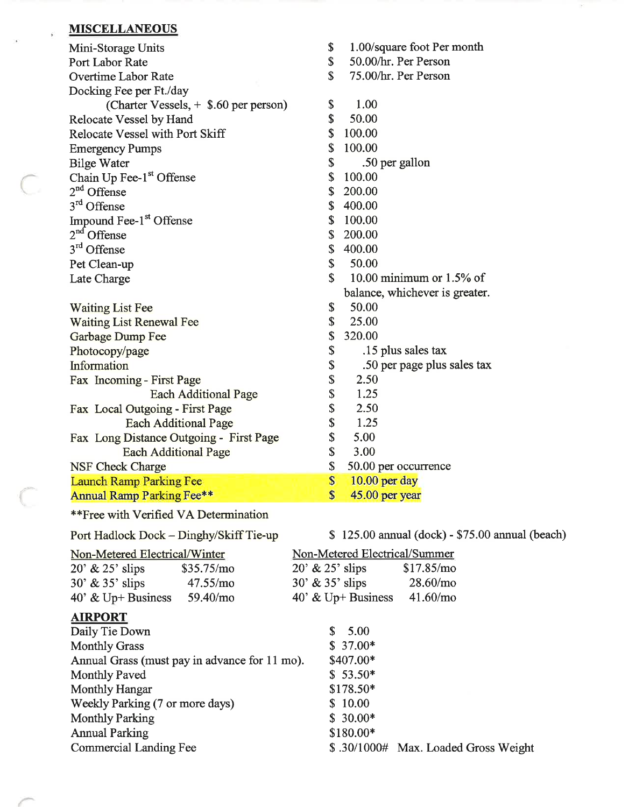#### **MISCELLANEOUS**

| Mini-Storage Units                      | \$                | 1.00/square foot Per month                      |
|-----------------------------------------|-------------------|-------------------------------------------------|
| Port Labor Rate                         | \$                | 50.00/hr. Per Person                            |
| <b>Overtime Labor Rate</b>              | \$                | 75.00/hr. Per Person                            |
| Docking Fee per Ft./day                 |                   |                                                 |
| (Charter Vessels, + \$.60 per person)   | \$                | 1.00                                            |
| Relocate Vessel by Hand                 | \$                | 50.00                                           |
| <b>Relocate Vessel with Port Skiff</b>  | \$                | 100.00                                          |
| <b>Emergency Pumps</b>                  | \$                | 100.00                                          |
| <b>Bilge Water</b>                      | \$                | .50 per gallon                                  |
| Chain Up Fee-1st Offense                | \$                | 100.00                                          |
| $2nd$ Offense                           | \$                | 200.00                                          |
| 3 <sup>rd</sup> Offense                 | \$                | 400.00                                          |
| Impound Fee-1 <sup>st</sup> Offense     | \$                | 100.00                                          |
| $2nd$ Offense                           | \$                | 200.00                                          |
| 3 <sup>rd</sup> Offense                 | \$                | 400.00                                          |
| Pet Clean-up                            | \$                | 50.00                                           |
| Late Charge                             | \$                | 10.00 minimum or $1.5\%$ of                     |
|                                         |                   | balance, whichever is greater.                  |
| <b>Waiting List Fee</b>                 | \$                | 50.00                                           |
| <b>Waiting List Renewal Fee</b>         | \$                | 25.00                                           |
| <b>Garbage Dump Fee</b>                 | \$                | 320.00                                          |
| Photocopy/page                          | \$                | .15 plus sales tax                              |
| Information                             | \$                | .50 per page plus sales tax                     |
| Fax Incoming - First Page               | \$                | 2.50                                            |
| <b>Each Additional Page</b>             | \$                | 1.25                                            |
| Fax Local Outgoing - First Page         | \$                | 2.50                                            |
| <b>Each Additional Page</b>             | \$                | 1.25                                            |
| Fax Long Distance Outgoing - First Page | \$                | 5.00                                            |
| <b>Each Additional Page</b>             | \$                | 3.00                                            |
| <b>NSF Check Charge</b>                 | \$                | 50.00 per occurrence                            |
| <b>Launch Ramp Parking Fee</b>          | $\boldsymbol{\$}$ | $10.00$ per day                                 |
| <b>Annual Ramp Parking Fee**</b>        | $\mathbf{s}$      | 45.00 per year                                  |
| **Free with Verified VA Determination   |                   |                                                 |
| Port Hadlock Dock - Dinghy/Skiff Tie-up |                   | \$125.00 annual (dock) - \$75.00 annual (beach) |

 $\sim$ 

| Non-Metered Electrical/Winter   |                                               | Non-Metered Electrical/Summer |                                      |
|---------------------------------|-----------------------------------------------|-------------------------------|--------------------------------------|
| $20'$ & $25'$ slips             | \$35.75/mo                                    | $20'$ & $25'$ slips           | \$17.85/mo                           |
| $30'$ & $35'$ slips             | 47.55/mo                                      | $30'$ & $35'$ slips           | 28.60/mo                             |
| 40' & Up+ Business $59.40/mo$   |                                               | 40' & Up+ Business $41.60/mo$ |                                      |
| <b>AIRPORT</b>                  |                                               |                               |                                      |
| Daily Tie Down                  |                                               | 5.00<br>S.                    |                                      |
| <b>Monthly Grass</b>            |                                               | $$37.00*$                     |                                      |
|                                 | Annual Grass (must pay in advance for 11 mo). | \$407.00*                     |                                      |
| <b>Monthly Paved</b>            |                                               | $$53.50*$                     |                                      |
| <b>Monthly Hangar</b>           |                                               | $$178.50*$                    |                                      |
| Weekly Parking (7 or more days) |                                               | \$10.00                       |                                      |
| <b>Monthly Parking</b>          |                                               | $$30.00*$                     |                                      |
| <b>Annual Parking</b>           |                                               | \$180.00*                     |                                      |
| Commercial Landing Fee          |                                               |                               | \$.30/1000# Max. Loaded Gross Weight |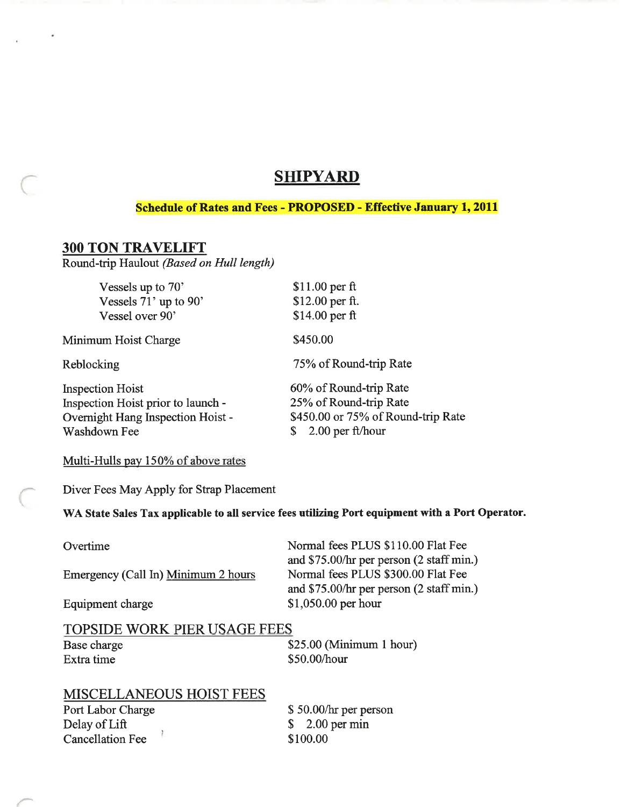# **SHIPYARD**

#### **Schedule of Rates and Fees - PROPOSED - Effective January 1, 2011**

#### **300 TON TRAVELIFT**

Round-trip Haulout (Based on Hull length)

| Vessels up to 70'                  | $$11.00$ per ft                    |
|------------------------------------|------------------------------------|
| Vessels 71' up to 90'              | \$12.00 per ft.                    |
| Vessel over 90'                    | \$14.00 per ft                     |
| Minimum Hoist Charge               | \$450.00                           |
| Reblocking                         | 75% of Round-trip Rate             |
| <b>Inspection Hoist</b>            | 60% of Round-trip Rate             |
| Inspection Hoist prior to launch - | 25% of Round-trip Rate             |
| Overnight Hang Inspection Hoist -  | \$450.00 or 75% of Round-trip Rate |
| Washdown Fee                       | $2.00$ per ft/hour                 |

#### Multi-Hulls pay 150% of above rates

Diver Fees May Apply for Strap Placement

WA State Sales Tax applicable to all service fees utilizing Port equipment with a Port Operator.

Overtime

Emergency (Call In) Minimum 2 hours

Equipment charge

Normal fees PLUS \$110.00 Flat Fee and \$75.00/hr per person (2 staff min.) Normal fees PLUS \$300.00 Flat Fee and \$75.00/hr per person (2 staff min.) \$1,050.00 per hour

#### **TOPSIDE WORK PIER USAGE FEES**

Base charge Extra time

 $$25.00$  (Minimum 1 hour) \$50.00/hour

### MISCELLANEOUS HOIST FEES

Port Labor Charge Delay of Lift  $\frac{3}{2}$ **Cancellation Fee** 

\$50.00/hr per person \$ 2.00 per min \$100.00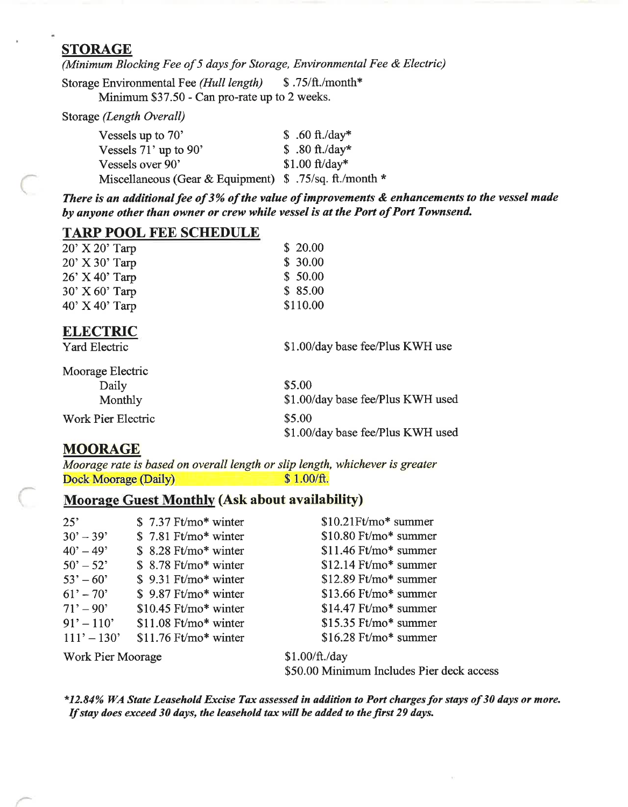#### **STORAGE**

(Minimum Blocking Fee of 5 days for Storage, Environmental Fee & Electric)

Storage Environmental Fee (Hull length) \$.75/ft./month\* Minimum \$37.50 - Can pro-rate up to 2 weeks.

Storage (Length Overall)

| $$.60 ft./day*$                                         |
|---------------------------------------------------------|
| $$.80 ft./day*$                                         |
| $$1.00 ft/day*$                                         |
| Miscellaneous (Gear & Equipment) \$ .75/sq. ft./month * |
|                                                         |

There is an additional fee of 3% of the value of improvements & enhancements to the vessel made by anyone other than owner or crew while vessel is at the Port of Port Townsend.

#### **TARP POOL FEE SCHEDULE**

| $20'$ X $20'$ Tarp | \$20.00  |
|--------------------|----------|
| $20'$ X 30' Tarp   | \$30.00  |
| $26'$ X 40' Tarp   | \$50.00  |
| $30'$ X 60' Tarp   | \$85.00  |
| $40'$ X $40'$ Tarp | \$110.00 |

#### **ELECTRIC**

**Yard Electric** 

\$1.00/day base fee/Plus KWH use

| Moorage Electric   |                                   |
|--------------------|-----------------------------------|
| Daily              | \$5.00                            |
| Monthly            | \$1.00/day base fee/Plus KWH used |
| Work Pier Electric | \$5.00                            |
|                    | \$1.00/day base fee/Plus KWH used |

### **MOORAGE**

Moorage rate is based on overall length or slip length, whichever is greater **Dock Moorage (Daily)** \$1.00/ft.

### **Moorage Guest Monthly (Ask about availability)**

| 25'                       | $$7.37$ Ft/mo* winter  | $$10.21$ Ft/mo* summer |
|---------------------------|------------------------|------------------------|
| $30' - 39'$               | $$7.81$ Ft/mo* winter  | $$10.80$ Ft/mo* summer |
| $40^{\circ} - 49^{\circ}$ | $$8.28$ Ft/mo* winter  | $$11.46$ Ft/mo* summer |
| $50' - 52'$               | $$8.78$ Ft/mo* winter  | $$12.14$ Ft/mo* summer |
| $53' - 60'$               | $$9.31$ Ft/mo* winter  | $$12.89$ Ft/mo* summer |
| $61' - 70'$               | \$9.87 Ft/mo* winter   | $$13.66$ Ft/mo* summer |
| $71' - 90'$               | $$10.45$ Ft/mo* winter | $$14.47$ Ft/mo* summer |
| $91' - 110'$              | $$11.08$ Ft/mo* winter | $$15.35$ Ft/mo* summer |
| $111' - 130'$             | $$11.76$ Ft/mo* winter | $$16.28$ Ft/mo* summer |
| <b>Work Pier Moorage</b>  |                        | \$1.00/ft./day         |

\$50.00 Minimum Includes Pier deck access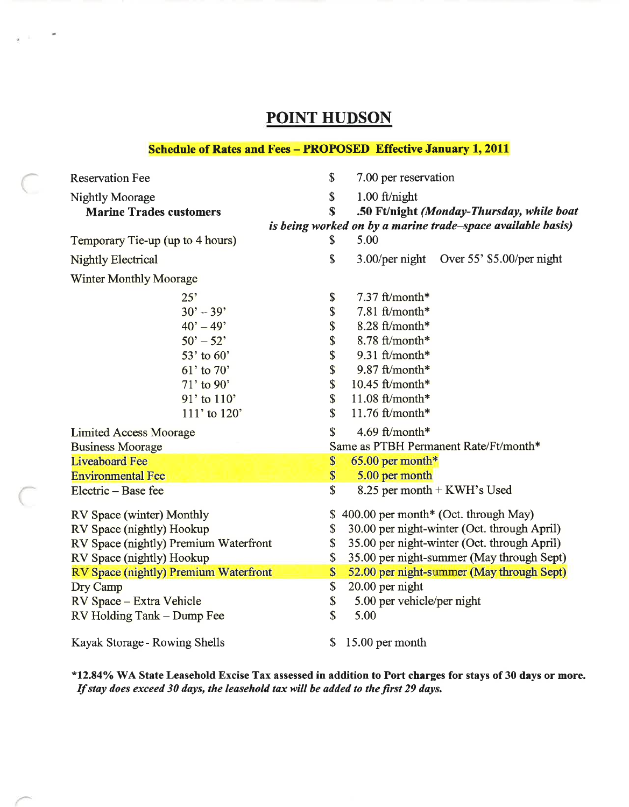# **POINT HUDSON**

 $_{\lambda}$   $_{\lambda}$   $_{\odot}$   $^{-1}$ 

#### **Schedule of Rates and Fees - PROPOSED Effective January 1, 2011**

| <b>Reservation Fee</b>                | $\mathbf S$<br>7.00 per reservation                         |
|---------------------------------------|-------------------------------------------------------------|
| Nightly Moorage                       | $\mathbb{S}$<br>$1.00$ ft/night                             |
| <b>Marine Trades customers</b>        | .50 Ft/night (Monday-Thursday, while boat<br>$\mathbf S$    |
|                                       | is being worked on by a marine trade–space available basis) |
| Temporary Tie-up (up to 4 hours)      | 5.00<br>S                                                   |
| <b>Nightly Electrical</b>             | \$<br>3.00/per night Over 55' \$5.00/per night              |
| <b>Winter Monthly Moorage</b>         |                                                             |
| 25'                                   | 7.37 ft/month*<br>\$                                        |
| $30' - 39'$                           | \$<br>7.81 ft/month*                                        |
| $40' - 49'$                           | \$<br>8.28 ft/month*                                        |
| $50^{\circ} - 52^{\circ}$             | \$<br>$8.78$ ft/month*                                      |
| $53'$ to $60'$                        | \$<br>9.31 ft/month*                                        |
| $61'$ to $70'$                        | \$<br>$9.87$ ft/month*                                      |
| $71'$ to 90'                          | \$<br>$10.45$ ft/month*                                     |
| 91' to 110'                           | \$<br>$11.08$ ft/month*                                     |
| 111' to 120'                          | $\mathbb{S}$<br>11.76 $ft/month*$                           |
| <b>Limited Access Moorage</b>         | $\mathbf S$<br>4.69 ft/month*                               |
| <b>Business Moorage</b>               | Same as PTBH Permanent Rate/Ft/month*                       |
| <b>Liveaboard Fee</b>                 | \$<br>$65.00$ per month*                                    |
| <b>Environmental Fee</b>              | \$<br>5.00 per month                                        |
| Electric – Base fee                   | \$<br>8.25 per month + KWH's Used                           |
| RV Space (winter) Monthly             | \$400.00 per month* (Oct. through May)                      |
| RV Space (nightly) Hookup             | 30.00 per night-winter (Oct. through April)<br>\$           |
| RV Space (nightly) Premium Waterfront | 35.00 per night-winter (Oct. through April)<br>\$           |
| RV Space (nightly) Hookup             | \$<br>35.00 per night-summer (May through Sept)             |
| RV Space (nightly) Premium Waterfront | 52.00 per night-summer (May through Sept)<br>\$             |
| Dry Camp                              | \$<br>20.00 per night                                       |
| RV Space - Extra Vehicle              | \$<br>5.00 per vehicle/per night                            |
| RV Holding Tank - Dump Fee            | \$<br>5.00                                                  |
| Kayak Storage - Rowing Shells         | \$<br>15.00 per month                                       |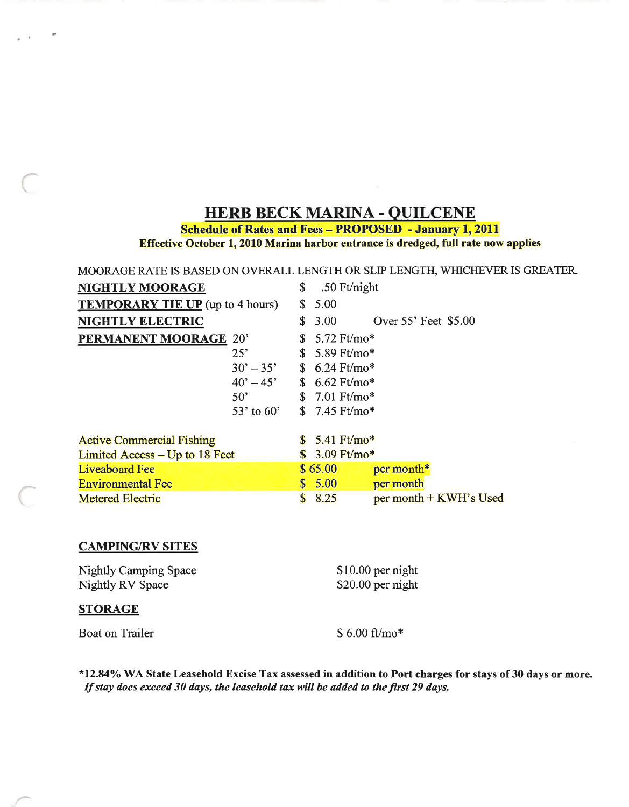# **HERB BECK MARINA - QUILCENE**

**Schedule of Rates and Fees - PROPOSED - January 1, 2011** 

Effective October 1, 2010 Marina harbor entrance is dredged, full rate now applies

#### MOORAGE RATE IS BASED ON OVERALL LENGTH OR SLIP LENGTH, WHICHEVER IS GREATER.

| NIGHTLY MOORAGE                         |                           | \$          | .50 $Ft/night$          |                        |
|-----------------------------------------|---------------------------|-------------|-------------------------|------------------------|
| <b>TEMPORARY TIE UP</b> (up to 4 hours) |                           | S.          | 5.00                    |                        |
| <b>NIGHTLY ELECTRIC</b>                 |                           | S.          | 3.00                    | Over 55' Feet \$5.00   |
| PERMANENT MOORAGE 20'                   |                           |             | $$5.72$ Ft/mo*          |                        |
|                                         | $25^{\circ}$              |             | $$5.89$ Ft/mo*          |                        |
|                                         | $30^{\circ} - 35^{\circ}$ |             | $$6.24 \text{ Ft/mol*}$ |                        |
|                                         | $40^{\circ} - 45^{\circ}$ |             | $$6.62$ Ft/mo*          |                        |
|                                         | $50^{\circ}$              |             | $$7.01$ Ft/mo*          |                        |
|                                         | 53' to $60'$              |             | $$7.45$ Ft/mo*          |                        |
|                                         |                           |             |                         |                        |
| <b>Active Commercial Fishing</b>        |                           |             | $$5.41$ Ft/mo*          |                        |
| Limited Access – Up to 18 Feet          |                           |             | $$3.09$ Ft/mo*          |                        |
| <b>Liveaboard Fee</b>                   |                           |             | \$65.00                 | per month*             |
| <b>Environmental Fee</b>                |                           |             | \$5.00                  | per month              |
| <b>Metered Electric</b>                 |                           | $\mathbf S$ | 8.25                    | per month + KWH's Used |

#### **CAMPING/RV SITES**

**Nightly Camping Space** Nightly RV Space

#### **STORAGE**

 $\mu$ 

**Boat on Trailer** 

\$10.00 per night \$20.00 per night

 $$6.00 ft/mol*$